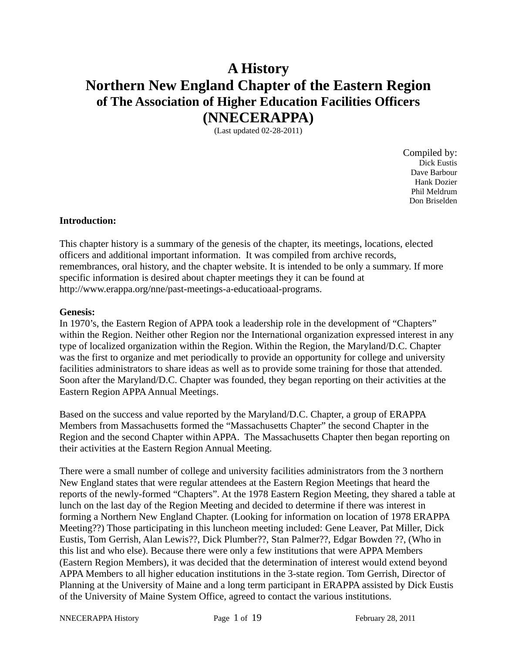# **A History Northern New England Chapter of the Eastern Region of The Association of Higher Education Facilities Officers (NNECERAPPA)**

(Last updated 02-28-2011)

Compiled by: Dick Eustis Dave Barbour Hank Dozier Phil Meldrum Don Briselden

#### **Introduction:**

This chapter history is a summary of the genesis of the chapter, its meetings, locations, elected officers and additional important information. It was compiled from archive records, remembrances, oral history, and the chapter website. It is intended to be only a summary. If more specific information is desired about chapter meetings they it can be found at http://www.erappa.org/nne/past-meetings-a-educatioaal-programs.

#### **Genesis:**

In 1970's, the Eastern Region of APPA took a leadership role in the development of "Chapters" within the Region. Neither other Region nor the International organization expressed interest in any type of localized organization within the Region. Within the Region, the Maryland/D.C. Chapter was the first to organize and met periodically to provide an opportunity for college and university facilities administrators to share ideas as well as to provide some training for those that attended. Soon after the Maryland/D.C. Chapter was founded, they began reporting on their activities at the Eastern Region APPA Annual Meetings.

Based on the success and value reported by the Maryland/D.C. Chapter, a group of ERAPPA Members from Massachusetts formed the "Massachusetts Chapter" the second Chapter in the Region and the second Chapter within APPA. The Massachusetts Chapter then began reporting on their activities at the Eastern Region Annual Meeting.

There were a small number of college and university facilities administrators from the 3 northern New England states that were regular attendees at the Eastern Region Meetings that heard the reports of the newly-formed "Chapters". At the 1978 Eastern Region Meeting, they shared a table at lunch on the last day of the Region Meeting and decided to determine if there was interest in forming a Northern New England Chapter. (Looking for information on location of 1978 ERAPPA Meeting??) Those participating in this luncheon meeting included: Gene Leaver, Pat Miller, Dick Eustis, Tom Gerrish, Alan Lewis??, Dick Plumber??, Stan Palmer??, Edgar Bowden ??, (Who in this list and who else). Because there were only a few institutions that were APPA Members (Eastern Region Members), it was decided that the determination of interest would extend beyond APPA Members to all higher education institutions in the 3-state region. Tom Gerrish, Director of Planning at the University of Maine and a long term participant in ERAPPA assisted by Dick Eustis of the University of Maine System Office, agreed to contact the various institutions.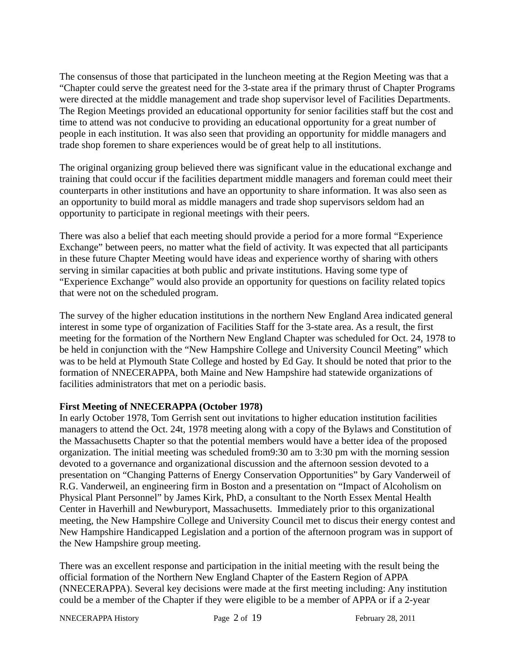The consensus of those that participated in the luncheon meeting at the Region Meeting was that a "Chapter could serve the greatest need for the 3-state area if the primary thrust of Chapter Programs were directed at the middle management and trade shop supervisor level of Facilities Departments. The Region Meetings provided an educational opportunity for senior facilities staff but the cost and time to attend was not conducive to providing an educational opportunity for a great number of people in each institution. It was also seen that providing an opportunity for middle managers and trade shop foremen to share experiences would be of great help to all institutions.

The original organizing group believed there was significant value in the educational exchange and training that could occur if the facilities department middle managers and foreman could meet their counterparts in other institutions and have an opportunity to share information. It was also seen as an opportunity to build moral as middle managers and trade shop supervisors seldom had an opportunity to participate in regional meetings with their peers.

There was also a belief that each meeting should provide a period for a more formal "Experience Exchange" between peers, no matter what the field of activity. It was expected that all participants in these future Chapter Meeting would have ideas and experience worthy of sharing with others serving in similar capacities at both public and private institutions. Having some type of "Experience Exchange" would also provide an opportunity for questions on facility related topics that were not on the scheduled program.

The survey of the higher education institutions in the northern New England Area indicated general interest in some type of organization of Facilities Staff for the 3-state area. As a result, the first meeting for the formation of the Northern New England Chapter was scheduled for Oct. 24, 1978 to be held in conjunction with the "New Hampshire College and University Council Meeting" which was to be held at Plymouth State College and hosted by Ed Gay. It should be noted that prior to the formation of NNECERAPPA, both Maine and New Hampshire had statewide organizations of facilities administrators that met on a periodic basis.

# **First Meeting of NNECERAPPA (October 1978)**

In early October 1978, Tom Gerrish sent out invitations to higher education institution facilities managers to attend the Oct. 24t, 1978 meeting along with a copy of the Bylaws and Constitution of the Massachusetts Chapter so that the potential members would have a better idea of the proposed organization. The initial meeting was scheduled from9:30 am to 3:30 pm with the morning session devoted to a governance and organizational discussion and the afternoon session devoted to a presentation on "Changing Patterns of Energy Conservation Opportunities" by Gary Vanderweil of R.G. Vanderweil, an engineering firm in Boston and a presentation on "Impact of Alcoholism on Physical Plant Personnel" by James Kirk, PhD, a consultant to the North Essex Mental Health Center in Haverhill and Newburyport, Massachusetts. Immediately prior to this organizational meeting, the New Hampshire College and University Council met to discus their energy contest and New Hampshire Handicapped Legislation and a portion of the afternoon program was in support of the New Hampshire group meeting.

There was an excellent response and participation in the initial meeting with the result being the official formation of the Northern New England Chapter of the Eastern Region of APPA (NNECERAPPA). Several key decisions were made at the first meeting including: Any institution could be a member of the Chapter if they were eligible to be a member of APPA or if a 2-year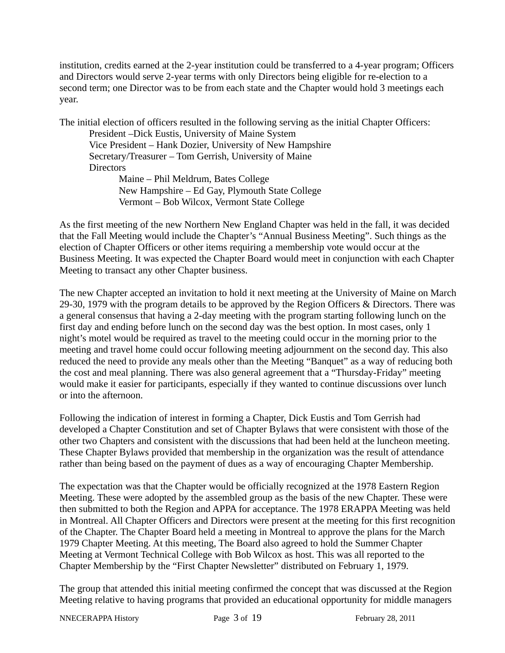institution, credits earned at the 2-year institution could be transferred to a 4-year program; Officers and Directors would serve 2-year terms with only Directors being eligible for re-election to a second term; one Director was to be from each state and the Chapter would hold 3 meetings each year.

The initial election of officers resulted in the following serving as the initial Chapter Officers: President –Dick Eustis, University of Maine System Vice President – Hank Dozier, University of New Hampshire Secretary/Treasurer – Tom Gerrish, University of Maine **Directors** Maine – Phil Meldrum, Bates College New Hampshire – Ed Gay, Plymouth State College Vermont – Bob Wilcox, Vermont State College

As the first meeting of the new Northern New England Chapter was held in the fall, it was decided that the Fall Meeting would include the Chapter's "Annual Business Meeting". Such things as the election of Chapter Officers or other items requiring a membership vote would occur at the Business Meeting. It was expected the Chapter Board would meet in conjunction with each Chapter Meeting to transact any other Chapter business.

The new Chapter accepted an invitation to hold it next meeting at the University of Maine on March 29-30, 1979 with the program details to be approved by the Region Officers & Directors. There was a general consensus that having a 2-day meeting with the program starting following lunch on the first day and ending before lunch on the second day was the best option. In most cases, only 1 night's motel would be required as travel to the meeting could occur in the morning prior to the meeting and travel home could occur following meeting adjournment on the second day. This also reduced the need to provide any meals other than the Meeting "Banquet" as a way of reducing both the cost and meal planning. There was also general agreement that a "Thursday-Friday" meeting would make it easier for participants, especially if they wanted to continue discussions over lunch or into the afternoon.

Following the indication of interest in forming a Chapter, Dick Eustis and Tom Gerrish had developed a Chapter Constitution and set of Chapter Bylaws that were consistent with those of the other two Chapters and consistent with the discussions that had been held at the luncheon meeting. These Chapter Bylaws provided that membership in the organization was the result of attendance rather than being based on the payment of dues as a way of encouraging Chapter Membership.

The expectation was that the Chapter would be officially recognized at the 1978 Eastern Region Meeting. These were adopted by the assembled group as the basis of the new Chapter. These were then submitted to both the Region and APPA for acceptance. The 1978 ERAPPA Meeting was held in Montreal. All Chapter Officers and Directors were present at the meeting for this first recognition of the Chapter. The Chapter Board held a meeting in Montreal to approve the plans for the March 1979 Chapter Meeting. At this meeting, The Board also agreed to hold the Summer Chapter Meeting at Vermont Technical College with Bob Wilcox as host. This was all reported to the Chapter Membership by the "First Chapter Newsletter" distributed on February 1, 1979.

The group that attended this initial meeting confirmed the concept that was discussed at the Region Meeting relative to having programs that provided an educational opportunity for middle managers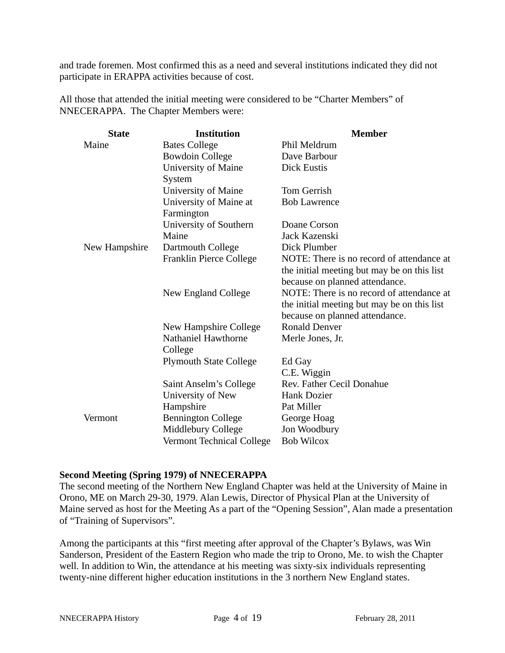and trade foremen. Most confirmed this as a need and several institutions indicated they did not participate in ERAPPA activities because of cost.

All those that attended the initial meeting were considered to be "Charter Members" of NNECERAPPA. The Chapter Members were:

| <b>State</b>  | <b>Institution</b>               | <b>Member</b>                               |
|---------------|----------------------------------|---------------------------------------------|
| Maine         | <b>Bates College</b>             | Phil Meldrum                                |
|               | <b>Bowdoin College</b>           | Dave Barbour                                |
|               | <b>University of Maine</b>       | <b>Dick Eustis</b>                          |
|               | System                           |                                             |
|               | <b>University of Maine</b>       | <b>Tom Gerrish</b>                          |
|               | University of Maine at           | <b>Bob Lawrence</b>                         |
|               | Farmington                       |                                             |
|               | University of Southern           | Doane Corson                                |
|               | Maine                            | Jack Kazenski                               |
| New Hampshire | Dartmouth College                | Dick Plumber                                |
|               | Franklin Pierce College          | NOTE: There is no record of attendance at   |
|               |                                  | the initial meeting but may be on this list |
|               |                                  | because on planned attendance.              |
|               | New England College              | NOTE: There is no record of attendance at   |
|               |                                  | the initial meeting but may be on this list |
|               |                                  | because on planned attendance.              |
|               | New Hampshire College            | <b>Ronald Denver</b>                        |
|               | Nathaniel Hawthorne              | Merle Jones, Jr.                            |
|               | College                          |                                             |
|               | <b>Plymouth State College</b>    | Ed Gay                                      |
|               |                                  | C.E. Wiggin                                 |
|               | Saint Anselm's College           | Rev. Father Cecil Donahue                   |
|               | University of New                | <b>Hank Dozier</b>                          |
|               | Hampshire                        | Pat Miller                                  |
| Vermont       | <b>Bennington College</b>        | George Hoag                                 |
|               | Middlebury College               | Jon Woodbury                                |
|               | <b>Vermont Technical College</b> | <b>Bob Wilcox</b>                           |

#### **Second Meeting (Spring 1979) of NNECERAPPA**

The second meeting of the Northern New England Chapter was held at the University of Maine in Orono, ME on March 29-30, 1979. Alan Lewis, Director of Physical Plan at the University of Maine served as host for the Meeting As a part of the "Opening Session", Alan made a presentation of "Training of Supervisors".

Among the participants at this "first meeting after approval of the Chapter's Bylaws, was Win Sanderson, President of the Eastern Region who made the trip to Orono, Me. to wish the Chapter well. In addition to Win, the attendance at his meeting was sixty-six individuals representing twenty-nine different higher education institutions in the 3 northern New England states.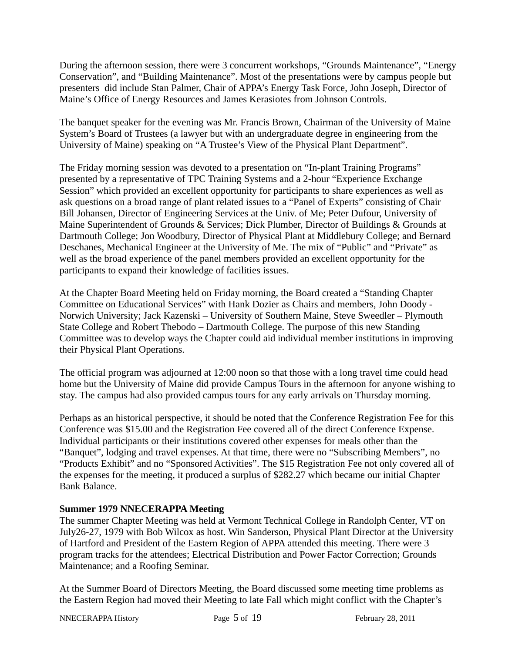During the afternoon session, there were 3 concurrent workshops, "Grounds Maintenance", "Energy Conservation", and "Building Maintenance". Most of the presentations were by campus people but presenters did include Stan Palmer, Chair of APPA's Energy Task Force, John Joseph, Director of Maine's Office of Energy Resources and James Kerasiotes from Johnson Controls.

The banquet speaker for the evening was Mr. Francis Brown, Chairman of the University of Maine System's Board of Trustees (a lawyer but with an undergraduate degree in engineering from the University of Maine) speaking on "A Trustee's View of the Physical Plant Department".

The Friday morning session was devoted to a presentation on "In-plant Training Programs" presented by a representative of TPC Training Systems and a 2-hour "Experience Exchange Session" which provided an excellent opportunity for participants to share experiences as well as ask questions on a broad range of plant related issues to a "Panel of Experts" consisting of Chair Bill Johansen, Director of Engineering Services at the Univ. of Me; Peter Dufour, University of Maine Superintendent of Grounds & Services; Dick Plumber, Director of Buildings & Grounds at Dartmouth College; Jon Woodbury, Director of Physical Plant at Middlebury College; and Bernard Deschanes, Mechanical Engineer at the University of Me. The mix of "Public" and "Private" as well as the broad experience of the panel members provided an excellent opportunity for the participants to expand their knowledge of facilities issues.

At the Chapter Board Meeting held on Friday morning, the Board created a "Standing Chapter Committee on Educational Services" with Hank Dozier as Chairs and members, John Doody - Norwich University; Jack Kazenski – University of Southern Maine, Steve Sweedler – Plymouth State College and Robert Thebodo – Dartmouth College. The purpose of this new Standing Committee was to develop ways the Chapter could aid individual member institutions in improving their Physical Plant Operations.

The official program was adjourned at 12:00 noon so that those with a long travel time could head home but the University of Maine did provide Campus Tours in the afternoon for anyone wishing to stay. The campus had also provided campus tours for any early arrivals on Thursday morning.

Perhaps as an historical perspective, it should be noted that the Conference Registration Fee for this Conference was \$15.00 and the Registration Fee covered all of the direct Conference Expense. Individual participants or their institutions covered other expenses for meals other than the "Banquet", lodging and travel expenses. At that time, there were no "Subscribing Members", no "Products Exhibit" and no "Sponsored Activities". The \$15 Registration Fee not only covered all of the expenses for the meeting, it produced a surplus of \$282.27 which became our initial Chapter Bank Balance.

# **Summer 1979 NNECERAPPA Meeting**

The summer Chapter Meeting was held at Vermont Technical College in Randolph Center, VT on July26-27, 1979 with Bob Wilcox as host. Win Sanderson, Physical Plant Director at the University of Hartford and President of the Eastern Region of APPA attended this meeting. There were 3 program tracks for the attendees; Electrical Distribution and Power Factor Correction; Grounds Maintenance; and a Roofing Seminar.

At the Summer Board of Directors Meeting, the Board discussed some meeting time problems as the Eastern Region had moved their Meeting to late Fall which might conflict with the Chapter's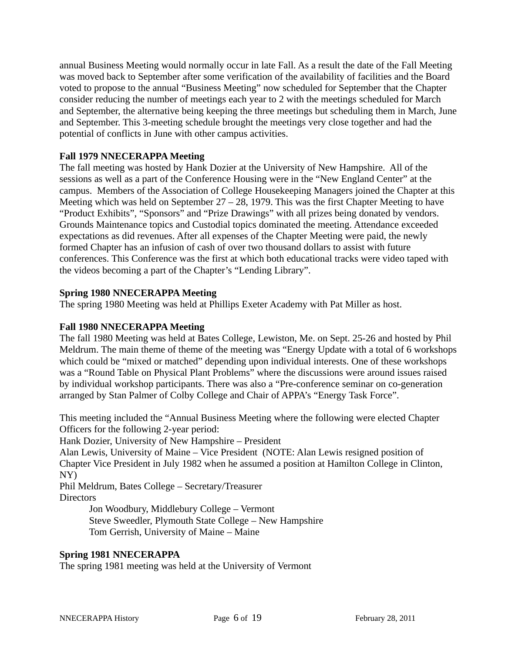annual Business Meeting would normally occur in late Fall. As a result the date of the Fall Meeting was moved back to September after some verification of the availability of facilities and the Board voted to propose to the annual "Business Meeting" now scheduled for September that the Chapter consider reducing the number of meetings each year to 2 with the meetings scheduled for March and September, the alternative being keeping the three meetings but scheduling them in March, June and September. This 3-meeting schedule brought the meetings very close together and had the potential of conflicts in June with other campus activities.

# **Fall 1979 NNECERAPPA Meeting**

The fall meeting was hosted by Hank Dozier at the University of New Hampshire. All of the sessions as well as a part of the Conference Housing were in the "New England Center" at the campus. Members of the Association of College Housekeeping Managers joined the Chapter at this Meeting which was held on September 27 – 28, 1979. This was the first Chapter Meeting to have "Product Exhibits", "Sponsors" and "Prize Drawings" with all prizes being donated by vendors. Grounds Maintenance topics and Custodial topics dominated the meeting. Attendance exceeded expectations as did revenues. After all expenses of the Chapter Meeting were paid, the newly formed Chapter has an infusion of cash of over two thousand dollars to assist with future conferences. This Conference was the first at which both educational tracks were video taped with the videos becoming a part of the Chapter's "Lending Library".

## **Spring 1980 NNECERAPPA Meeting**

The spring 1980 Meeting was held at Phillips Exeter Academy with Pat Miller as host.

#### **Fall 1980 NNECERAPPA Meeting**

The fall 1980 Meeting was held at Bates College, Lewiston, Me. on Sept. 25-26 and hosted by Phil Meldrum. The main theme of theme of the meeting was "Energy Update with a total of 6 workshops which could be "mixed or matched" depending upon individual interests. One of these workshops was a "Round Table on Physical Plant Problems" where the discussions were around issues raised by individual workshop participants. There was also a "Pre-conference seminar on co-generation arranged by Stan Palmer of Colby College and Chair of APPA's "Energy Task Force".

This meeting included the "Annual Business Meeting where the following were elected Chapter Officers for the following 2-year period:

Hank Dozier, University of New Hampshire – President

Alan Lewis, University of Maine – Vice President (NOTE: Alan Lewis resigned position of Chapter Vice President in July 1982 when he assumed a position at Hamilton College in Clinton, NY)

Phil Meldrum, Bates College – Secretary/Treasurer **Directors** 

> Jon Woodbury, Middlebury College – Vermont Steve Sweedler, Plymouth State College – New Hampshire Tom Gerrish, University of Maine – Maine

#### **Spring 1981 NNECERAPPA**

The spring 1981 meeting was held at the University of Vermont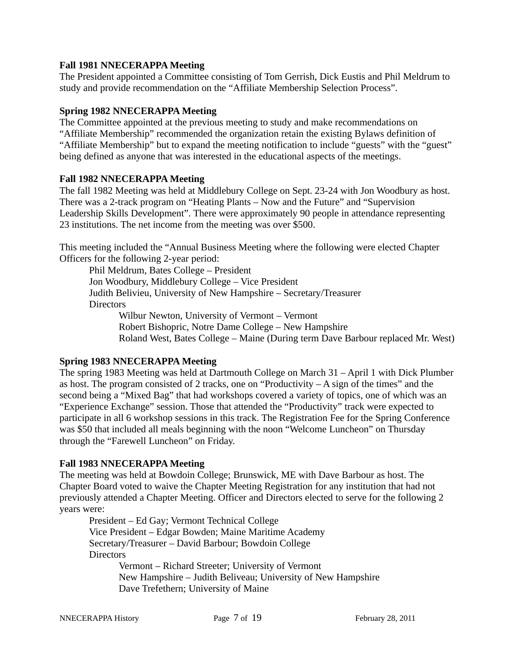## **Fall 1981 NNECERAPPA Meeting**

The President appointed a Committee consisting of Tom Gerrish, Dick Eustis and Phil Meldrum to study and provide recommendation on the "Affiliate Membership Selection Process".

# **Spring 1982 NNECERAPPA Meeting**

The Committee appointed at the previous meeting to study and make recommendations on "Affiliate Membership" recommended the organization retain the existing Bylaws definition of "Affiliate Membership" but to expand the meeting notification to include "guests" with the "guest" being defined as anyone that was interested in the educational aspects of the meetings.

## **Fall 1982 NNECERAPPA Meeting**

The fall 1982 Meeting was held at Middlebury College on Sept. 23-24 with Jon Woodbury as host. There was a 2-track program on "Heating Plants – Now and the Future" and "Supervision Leadership Skills Development". There were approximately 90 people in attendance representing 23 institutions. The net income from the meeting was over \$500.

This meeting included the "Annual Business Meeting where the following were elected Chapter Officers for the following 2-year period:

Phil Meldrum, Bates College – President Jon Woodbury, Middlebury College – Vice President Judith Belivieu, University of New Hampshire – Secretary/Treasurer **Directors** Wilbur Newton, University of Vermont – Vermont

Robert Bishopric, Notre Dame College – New Hampshire Roland West, Bates College – Maine (During term Dave Barbour replaced Mr. West)

# **Spring 1983 NNECERAPPA Meeting**

The spring 1983 Meeting was held at Dartmouth College on March 31 – April 1 with Dick Plumber as host. The program consisted of 2 tracks, one on "Productivity  $-A$  sign of the times" and the second being a "Mixed Bag" that had workshops covered a variety of topics, one of which was an "Experience Exchange" session. Those that attended the "Productivity" track were expected to participate in all 6 workshop sessions in this track. The Registration Fee for the Spring Conference was \$50 that included all meals beginning with the noon "Welcome Luncheon" on Thursday through the "Farewell Luncheon" on Friday.

## **Fall 1983 NNECERAPPA Meeting**

The meeting was held at Bowdoin College; Brunswick, ME with Dave Barbour as host. The Chapter Board voted to waive the Chapter Meeting Registration for any institution that had not previously attended a Chapter Meeting. Officer and Directors elected to serve for the following 2 years were:

President – Ed Gay; Vermont Technical College Vice President – Edgar Bowden; Maine Maritime Academy Secretary/Treasurer – David Barbour; Bowdoin College **Directors** 

Vermont – Richard Streeter; University of Vermont New Hampshire – Judith Beliveau; University of New Hampshire Dave Trefethern; University of Maine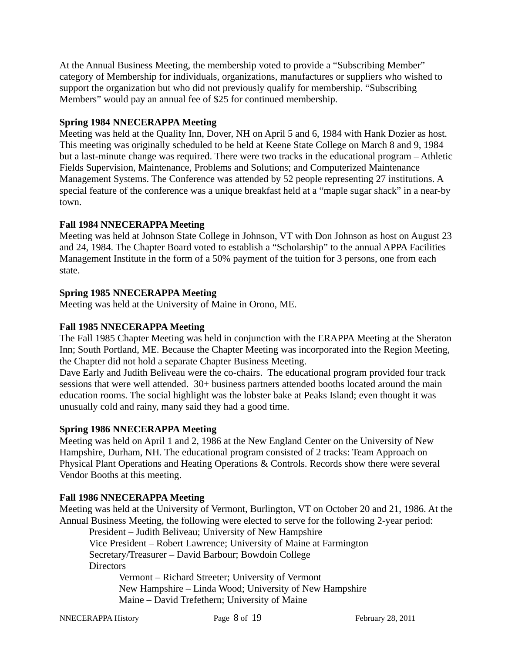At the Annual Business Meeting, the membership voted to provide a "Subscribing Member" category of Membership for individuals, organizations, manufactures or suppliers who wished to support the organization but who did not previously qualify for membership. "Subscribing Members" would pay an annual fee of \$25 for continued membership.

# **Spring 1984 NNECERAPPA Meeting**

Meeting was held at the Quality Inn, Dover, NH on April 5 and 6, 1984 with Hank Dozier as host. This meeting was originally scheduled to be held at Keene State College on March 8 and 9, 1984 but a last-minute change was required. There were two tracks in the educational program – Athletic Fields Supervision, Maintenance, Problems and Solutions; and Computerized Maintenance Management Systems. The Conference was attended by 52 people representing 27 institutions. A special feature of the conference was a unique breakfast held at a "maple sugar shack" in a near-by town.

# **Fall 1984 NNECERAPPA Meeting**

Meeting was held at Johnson State College in Johnson, VT with Don Johnson as host on August 23 and 24, 1984. The Chapter Board voted to establish a "Scholarship" to the annual APPA Facilities Management Institute in the form of a 50% payment of the tuition for 3 persons, one from each state.

# **Spring 1985 NNECERAPPA Meeting**

Meeting was held at the University of Maine in Orono, ME.

# **Fall 1985 NNECERAPPA Meeting**

The Fall 1985 Chapter Meeting was held in conjunction with the ERAPPA Meeting at the Sheraton Inn; South Portland, ME. Because the Chapter Meeting was incorporated into the Region Meeting, the Chapter did not hold a separate Chapter Business Meeting.

Dave Early and Judith Beliveau were the co-chairs. The educational program provided four track sessions that were well attended. 30+ business partners attended booths located around the main education rooms. The social highlight was the lobster bake at Peaks Island; even thought it was unusually cold and rainy, many said they had a good time.

## **Spring 1986 NNECERAPPA Meeting**

Meeting was held on April 1 and 2, 1986 at the New England Center on the University of New Hampshire, Durham, NH. The educational program consisted of 2 tracks: Team Approach on Physical Plant Operations and Heating Operations & Controls. Records show there were several Vendor Booths at this meeting.

## **Fall 1986 NNECERAPPA Meeting**

Meeting was held at the University of Vermont, Burlington, VT on October 20 and 21, 1986. At the Annual Business Meeting, the following were elected to serve for the following 2-year period:

President – Judith Beliveau; University of New Hampshire Vice President – Robert Lawrence; University of Maine at Farmington Secretary/Treasurer – David Barbour; Bowdoin College **Directors** 

Vermont – Richard Streeter; University of Vermont New Hampshire – Linda Wood; University of New Hampshire Maine – David Trefethern; University of Maine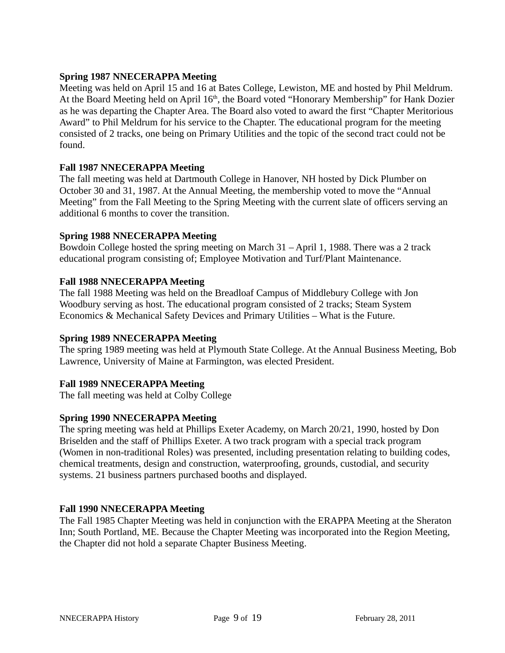# **Spring 1987 NNECERAPPA Meeting**

Meeting was held on April 15 and 16 at Bates College, Lewiston, ME and hosted by Phil Meldrum. At the Board Meeting held on April 16<sup>th</sup>, the Board voted "Honorary Membership" for Hank Dozier as he was departing the Chapter Area. The Board also voted to award the first "Chapter Meritorious Award" to Phil Meldrum for his service to the Chapter. The educational program for the meeting consisted of 2 tracks, one being on Primary Utilities and the topic of the second tract could not be found.

## **Fall 1987 NNECERAPPA Meeting**

The fall meeting was held at Dartmouth College in Hanover, NH hosted by Dick Plumber on October 30 and 31, 1987. At the Annual Meeting, the membership voted to move the "Annual Meeting" from the Fall Meeting to the Spring Meeting with the current slate of officers serving an additional 6 months to cover the transition.

## **Spring 1988 NNECERAPPA Meeting**

Bowdoin College hosted the spring meeting on March 31 – April 1, 1988. There was a 2 track educational program consisting of; Employee Motivation and Turf/Plant Maintenance.

## **Fall 1988 NNECERAPPA Meeting**

The fall 1988 Meeting was held on the Breadloaf Campus of Middlebury College with Jon Woodbury serving as host. The educational program consisted of 2 tracks; Steam System Economics & Mechanical Safety Devices and Primary Utilities – What is the Future.

## **Spring 1989 NNECERAPPA Meeting**

The spring 1989 meeting was held at Plymouth State College. At the Annual Business Meeting, Bob Lawrence, University of Maine at Farmington, was elected President.

## **Fall 1989 NNECERAPPA Meeting**

The fall meeting was held at Colby College

#### **Spring 1990 NNECERAPPA Meeting**

The spring meeting was held at Phillips Exeter Academy, on March 20/21, 1990, hosted by Don Briselden and the staff of Phillips Exeter. A two track program with a special track program (Women in non-traditional Roles) was presented, including presentation relating to building codes, chemical treatments, design and construction, waterproofing, grounds, custodial, and security systems. 21 business partners purchased booths and displayed.

#### **Fall 1990 NNECERAPPA Meeting**

The Fall 1985 Chapter Meeting was held in conjunction with the ERAPPA Meeting at the Sheraton Inn; South Portland, ME. Because the Chapter Meeting was incorporated into the Region Meeting, the Chapter did not hold a separate Chapter Business Meeting.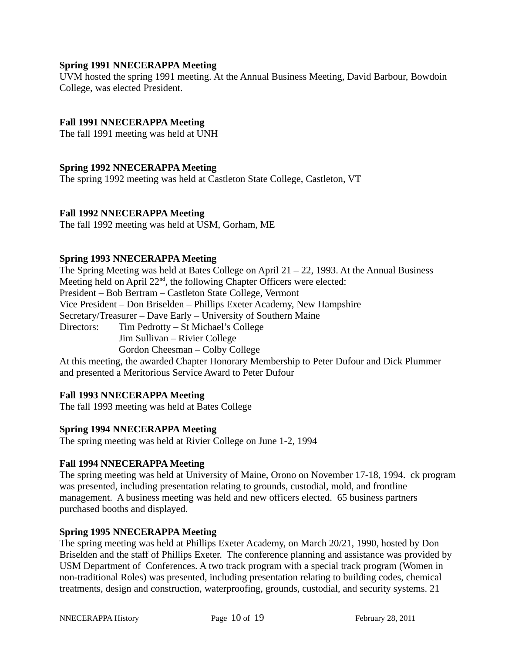## **Spring 1991 NNECERAPPA Meeting**

UVM hosted the spring 1991 meeting. At the Annual Business Meeting, David Barbour, Bowdoin College, was elected President.

## **Fall 1991 NNECERAPPA Meeting**

The fall 1991 meeting was held at UNH

#### **Spring 1992 NNECERAPPA Meeting**

The spring 1992 meeting was held at Castleton State College, Castleton, VT

#### **Fall 1992 NNECERAPPA Meeting**

The fall 1992 meeting was held at USM, Gorham, ME

#### **Spring 1993 NNECERAPPA Meeting**

The Spring Meeting was held at Bates College on April 21 – 22, 1993. At the Annual Business Meeting held on April 22<sup>nd</sup>, the following Chapter Officers were elected: President – Bob Bertram – Castleton State College, Vermont Vice President – Don Briselden – Phillips Exeter Academy, New Hampshire Secretary/Treasurer – Dave Early – University of Southern Maine Directors: Tim Pedrotty – St Michael's College Jim Sullivan – Rivier College Gordon Cheesman – Colby College At this meeting, the awarded Chapter Honorary Membership to Peter Dufour and Dick Plummer

and presented a Meritorious Service Award to Peter Dufour

#### **Fall 1993 NNECERAPPA Meeting**

The fall 1993 meeting was held at Bates College

#### **Spring 1994 NNECERAPPA Meeting**

The spring meeting was held at Rivier College on June 1-2, 1994

#### **Fall 1994 NNECERAPPA Meeting**

The spring meeting was held at University of Maine, Orono on November 17-18, 1994. ck program was presented, including presentation relating to grounds, custodial, mold, and frontline management. A business meeting was held and new officers elected. 65 business partners purchased booths and displayed.

#### **Spring 1995 NNECERAPPA Meeting**

The spring meeting was held at Phillips Exeter Academy, on March 20/21, 1990, hosted by Don Briselden and the staff of Phillips Exeter. The conference planning and assistance was provided by USM Department of Conferences. A two track program with a special track program (Women in non-traditional Roles) was presented, including presentation relating to building codes, chemical treatments, design and construction, waterproofing, grounds, custodial, and security systems. 21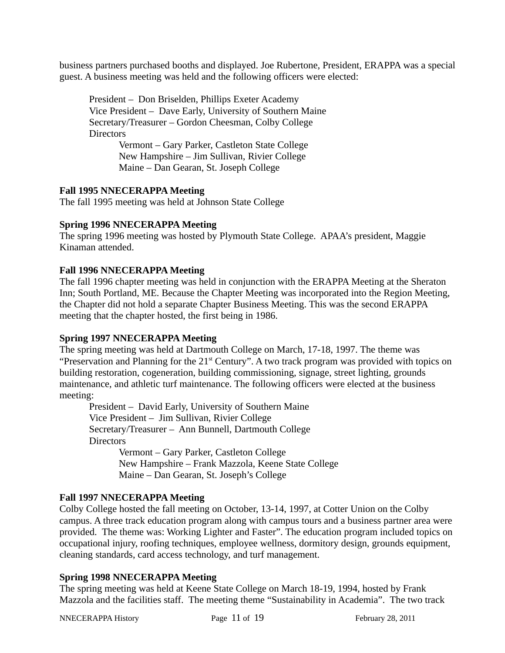business partners purchased booths and displayed. Joe Rubertone, President, ERAPPA was a special guest. A business meeting was held and the following officers were elected:

President – Don Briselden, Phillips Exeter Academy Vice President – Dave Early, University of Southern Maine Secretary/Treasurer – Gordon Cheesman, Colby College **Directors** 

Vermont – Gary Parker, Castleton State College New Hampshire – Jim Sullivan, Rivier College Maine – Dan Gearan, St. Joseph College

# **Fall 1995 NNECERAPPA Meeting**

The fall 1995 meeting was held at Johnson State College

## **Spring 1996 NNECERAPPA Meeting**

The spring 1996 meeting was hosted by Plymouth State College. APAA's president, Maggie Kinaman attended.

## **Fall 1996 NNECERAPPA Meeting**

The fall 1996 chapter meeting was held in conjunction with the ERAPPA Meeting at the Sheraton Inn; South Portland, ME. Because the Chapter Meeting was incorporated into the Region Meeting, the Chapter did not hold a separate Chapter Business Meeting. This was the second ERAPPA meeting that the chapter hosted, the first being in 1986.

## **Spring 1997 NNECERAPPA Meeting**

The spring meeting was held at Dartmouth College on March, 17-18, 1997. The theme was "Preservation and Planning for the 21<sup>st</sup> Century". A two track program was provided with topics on building restoration, cogeneration, building commissioning, signage, street lighting, grounds maintenance, and athletic turf maintenance. The following officers were elected at the business meeting:

President – David Early, University of Southern Maine Vice President – Jim Sullivan, Rivier College Secretary/Treasurer – Ann Bunnell, Dartmouth College **Directors** Vermont – Gary Parker, Castleton College

New Hampshire – Frank Mazzola, Keene State College Maine – Dan Gearan, St. Joseph's College

## **Fall 1997 NNECERAPPA Meeting**

Colby College hosted the fall meeting on October, 13-14, 1997, at Cotter Union on the Colby campus. A three track education program along with campus tours and a business partner area were provided. The theme was: Working Lighter and Faster". The education program included topics on occupational injury, roofing techniques, employee wellness, dormitory design, grounds equipment, cleaning standards, card access technology, and turf management.

## **Spring 1998 NNECERAPPA Meeting**

The spring meeting was held at Keene State College on March 18-19, 1994, hosted by Frank Mazzola and the facilities staff. The meeting theme "Sustainability in Academia". The two track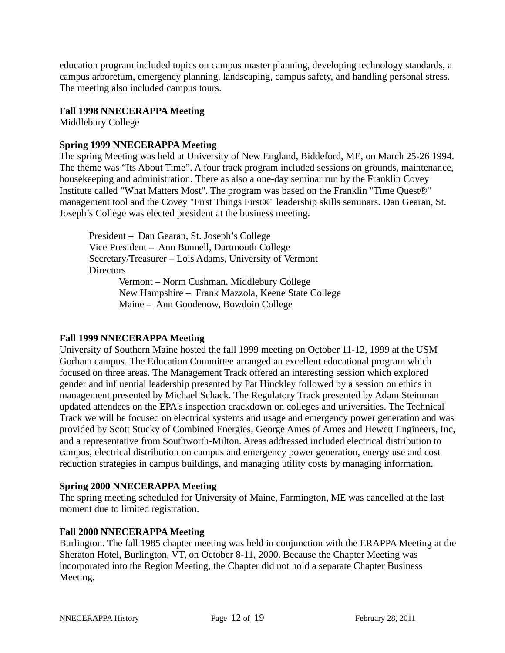education program included topics on campus master planning, developing technology standards, a campus arboretum, emergency planning, landscaping, campus safety, and handling personal stress. The meeting also included campus tours.

#### **Fall 1998 NNECERAPPA Meeting**

Middlebury College

## **Spring 1999 NNECERAPPA Meeting**

The spring Meeting was held at University of New England, Biddeford, ME, on March 25-26 1994. The theme was "Its About Time". A four track program included sessions on grounds, maintenance, housekeeping and administration. There as also a one-day seminar run by the Franklin Covey Institute called "What Matters Most". The program was based on the Franklin "Time Quest®" management tool and the Covey "First Things First®" leadership skills seminars. Dan Gearan, St. Joseph's College was elected president at the business meeting.

President – Dan Gearan, St. Joseph's College Vice President – Ann Bunnell, Dartmouth College Secretary/Treasurer – Lois Adams, University of Vermont **Directors** 

Vermont – Norm Cushman, Middlebury College New Hampshire – Frank Mazzola, Keene State College Maine – Ann Goodenow, Bowdoin College

#### **Fall 1999 NNECERAPPA Meeting**

University of Southern Maine hosted the fall 1999 meeting on October 11-12, 1999 at the USM Gorham campus. The Education Committee arranged an excellent educational program which focused on three areas. The Management Track offered an interesting session which explored gender and influential leadership presented by Pat Hinckley followed by a session on ethics in management presented by Michael Schack. The Regulatory Track presented by Adam Steinman updated attendees on the EPA's inspection crackdown on colleges and universities. The Technical Track we will be focused on electrical systems and usage and emergency power generation and was provided by Scott Stucky of Combined Energies, George Ames of Ames and Hewett Engineers, Inc, and a representative from Southworth-Milton. Areas addressed included electrical distribution to campus, electrical distribution on campus and emergency power generation, energy use and cost reduction strategies in campus buildings, and managing utility costs by managing information.

#### **Spring 2000 NNECERAPPA Meeting**

The spring meeting scheduled for University of Maine, Farmington, ME was cancelled at the last moment due to limited registration.

#### **Fall 2000 NNECERAPPA Meeting**

Burlington. The fall 1985 chapter meeting was held in conjunction with the ERAPPA Meeting at the Sheraton Hotel, Burlington, VT, on October 8-11, 2000. Because the Chapter Meeting was incorporated into the Region Meeting, the Chapter did not hold a separate Chapter Business Meeting.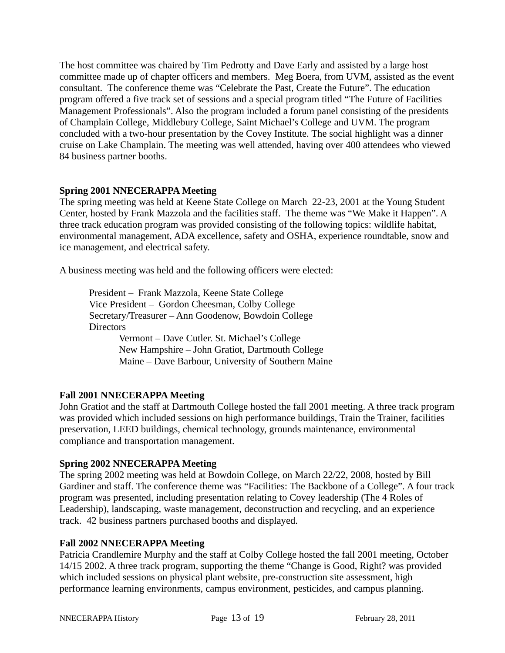The host committee was chaired by Tim Pedrotty and Dave Early and assisted by a large host committee made up of chapter officers and members. Meg Boera, from UVM, assisted as the event consultant. The conference theme was "Celebrate the Past, Create the Future". The education program offered a five track set of sessions and a special program titled "The Future of Facilities Management Professionals". Also the program included a forum panel consisting of the presidents of Champlain College, Middlebury College, Saint Michael's College and UVM. The program concluded with a two-hour presentation by the Covey Institute. The social highlight was a dinner cruise on Lake Champlain. The meeting was well attended, having over 400 attendees who viewed 84 business partner booths.

# **Spring 2001 NNECERAPPA Meeting**

The spring meeting was held at Keene State College on March 22-23, 2001 at the Young Student Center, hosted by Frank Mazzola and the facilities staff. The theme was "We Make it Happen". A three track education program was provided consisting of the following topics: wildlife habitat, environmental management, ADA excellence, safety and OSHA, experience roundtable, snow and ice management, and electrical safety.

A business meeting was held and the following officers were elected:

President – Frank Mazzola, Keene State College Vice President – Gordon Cheesman, Colby College Secretary/Treasurer – Ann Goodenow, Bowdoin College Directors Vermont – Dave Cutler. St. Michael's College New Hampshire – John Gratiot, Dartmouth College Maine – Dave Barbour, University of Southern Maine

## **Fall 2001 NNECERAPPA Meeting**

John Gratiot and the staff at Dartmouth College hosted the fall 2001 meeting. A three track program was provided which included sessions on high performance buildings, Train the Trainer, facilities preservation, LEED buildings, chemical technology, grounds maintenance, environmental compliance and transportation management.

## **Spring 2002 NNECERAPPA Meeting**

The spring 2002 meeting was held at Bowdoin College, on March 22/22, 2008, hosted by Bill Gardiner and staff. The conference theme was "Facilities: The Backbone of a College". A four track program was presented, including presentation relating to Covey leadership (The 4 Roles of Leadership), landscaping, waste management, deconstruction and recycling, and an experience track. 42 business partners purchased booths and displayed.

#### **Fall 2002 NNECERAPPA Meeting**

Patricia Crandlemire Murphy and the staff at Colby College hosted the fall 2001 meeting, October 14/15 2002. A three track program, supporting the theme "Change is Good, Right? was provided which included sessions on physical plant website, pre-construction site assessment, high performance learning environments, campus environment, pesticides, and campus planning.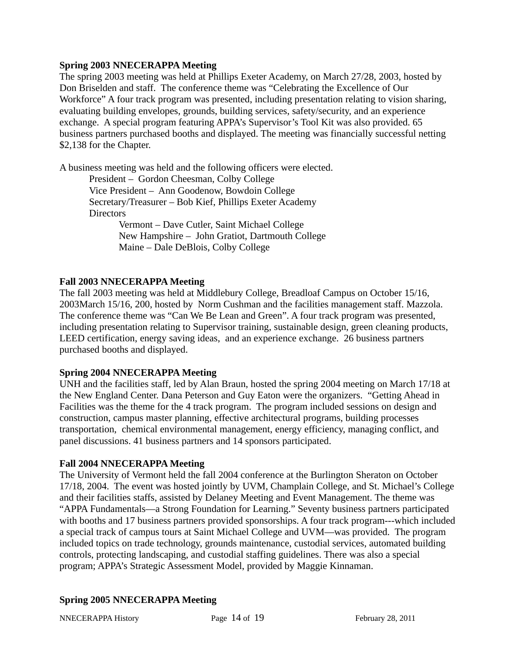## **Spring 2003 NNECERAPPA Meeting**

The spring 2003 meeting was held at Phillips Exeter Academy, on March 27/28, 2003, hosted by Don Briselden and staff. The conference theme was "Celebrating the Excellence of Our Workforce" A four track program was presented, including presentation relating to vision sharing, evaluating building envelopes, grounds, building services, safety/security, and an experience exchange. A special program featuring APPA's Supervisor's Tool Kit was also provided. 65 business partners purchased booths and displayed. The meeting was financially successful netting \$2,138 for the Chapter.

A business meeting was held and the following officers were elected. President – Gordon Cheesman, Colby College Vice President – Ann Goodenow, Bowdoin College Secretary/Treasurer – Bob Kief, Phillips Exeter Academy **Directors** 

> Vermont – Dave Cutler, Saint Michael College New Hampshire – John Gratiot, Dartmouth College Maine – Dale DeBlois, Colby College

# **Fall 2003 NNECERAPPA Meeting**

The fall 2003 meeting was held at Middlebury College, Breadloaf Campus on October 15/16, 2003March 15/16, 200, hosted by Norm Cushman and the facilities management staff. Mazzola. The conference theme was "Can We Be Lean and Green". A four track program was presented, including presentation relating to Supervisor training, sustainable design, green cleaning products, LEED certification, energy saving ideas, and an experience exchange. 26 business partners purchased booths and displayed.

## **Spring 2004 NNECERAPPA Meeting**

UNH and the facilities staff, led by Alan Braun, hosted the spring 2004 meeting on March 17/18 at the New England Center. Dana Peterson and Guy Eaton were the organizers. "Getting Ahead in Facilities was the theme for the 4 track program. The program included sessions on design and construction, campus master planning, effective architectural programs, building processes transportation, chemical environmental management, energy efficiency, managing conflict, and panel discussions. 41 business partners and 14 sponsors participated.

## **Fall 2004 NNECERAPPA Meeting**

The University of Vermont held the fall 2004 conference at the Burlington Sheraton on October 17/18, 2004. The event was hosted jointly by UVM, Champlain College, and St. Michael's College and their facilities staffs, assisted by Delaney Meeting and Event Management. The theme was "APPA Fundamentals—a Strong Foundation for Learning." Seventy business partners participated with booths and 17 business partners provided sponsorships. A four track program---which included a special track of campus tours at Saint Michael College and UVM—was provided. The program included topics on trade technology, grounds maintenance, custodial services, automated building controls, protecting landscaping, and custodial staffing guidelines. There was also a special program; APPA's Strategic Assessment Model, provided by Maggie Kinnaman.

# **Spring 2005 NNECERAPPA Meeting**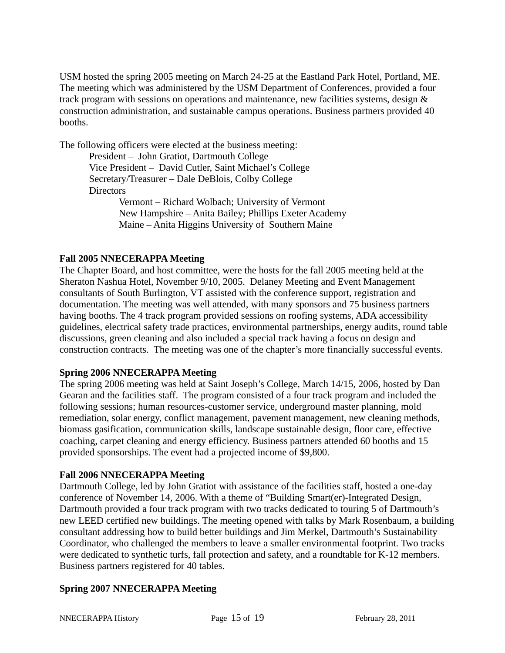USM hosted the spring 2005 meeting on March 24-25 at the Eastland Park Hotel, Portland, ME. The meeting which was administered by the USM Department of Conferences, provided a four track program with sessions on operations and maintenance, new facilities systems, design & construction administration, and sustainable campus operations. Business partners provided 40 booths.

The following officers were elected at the business meeting:

President – John Gratiot, Dartmouth College Vice President – David Cutler, Saint Michael's College Secretary/Treasurer – Dale DeBlois, Colby College **Directors** 

Vermont – Richard Wolbach; University of Vermont New Hampshire – Anita Bailey; Phillips Exeter Academy Maine – Anita Higgins University of Southern Maine

# **Fall 2005 NNECERAPPA Meeting**

The Chapter Board, and host committee, were the hosts for the fall 2005 meeting held at the Sheraton Nashua Hotel, November 9/10, 2005. Delaney Meeting and Event Management consultants of South Burlington, VT assisted with the conference support, registration and documentation. The meeting was well attended, with many sponsors and 75 business partners having booths. The 4 track program provided sessions on roofing systems, ADA accessibility guidelines, electrical safety trade practices, environmental partnerships, energy audits, round table discussions, green cleaning and also included a special track having a focus on design and construction contracts. The meeting was one of the chapter's more financially successful events.

## **Spring 2006 NNECERAPPA Meeting**

The spring 2006 meeting was held at Saint Joseph's College, March 14/15, 2006, hosted by Dan Gearan and the facilities staff. The program consisted of a four track program and included the following sessions; human resources-customer service, underground master planning, mold remediation, solar energy, conflict management, pavement management, new cleaning methods, biomass gasification, communication skills, landscape sustainable design, floor care, effective coaching, carpet cleaning and energy efficiency. Business partners attended 60 booths and 15 provided sponsorships. The event had a projected income of \$9,800.

## **Fall 2006 NNECERAPPA Meeting**

Dartmouth College, led by John Gratiot with assistance of the facilities staff, hosted a one-day conference of November 14, 2006. With a theme of "Building Smart(er)-Integrated Design, Dartmouth provided a four track program with two tracks dedicated to touring 5 of Dartmouth's new LEED certified new buildings. The meeting opened with talks by Mark Rosenbaum, a building consultant addressing how to build better buildings and Jim Merkel, Dartmouth's Sustainability Coordinator, who challenged the members to leave a smaller environmental footprint. Two tracks were dedicated to synthetic turfs, fall protection and safety, and a roundtable for K-12 members. Business partners registered for 40 tables.

# **Spring 2007 NNECERAPPA Meeting**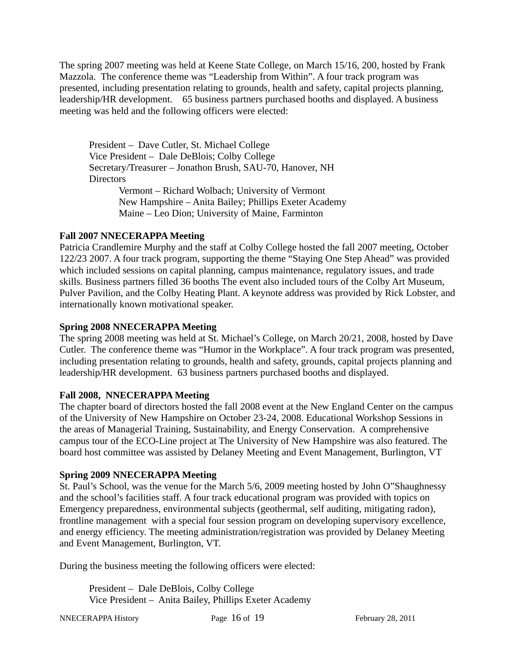The spring 2007 meeting was held at Keene State College, on March 15/16, 200, hosted by Frank Mazzola. The conference theme was "Leadership from Within". A four track program was presented, including presentation relating to grounds, health and safety, capital projects planning, leadership/HR development. 65 business partners purchased booths and displayed. A business meeting was held and the following officers were elected:

President – Dave Cutler, St. Michael College Vice President – Dale DeBlois; Colby College Secretary/Treasurer – Jonathon Brush, SAU-70, Hanover, NH **Directors** Vermont – Richard Wolbach; University of Vermont New Hampshire – Anita Bailey; Phillips Exeter Academy

Maine – Leo Dion; University of Maine, Farminton

## **Fall 2007 NNECERAPPA Meeting**

Patricia Crandlemire Murphy and the staff at Colby College hosted the fall 2007 meeting, October 122/23 2007. A four track program, supporting the theme "Staying One Step Ahead" was provided which included sessions on capital planning, campus maintenance, regulatory issues, and trade skills. Business partners filled 36 booths The event also included tours of the Colby Art Museum, Pulver Pavilion, and the Colby Heating Plant. A keynote address was provided by Rick Lobster, and internationally known motivational speaker.

#### **Spring 2008 NNECERAPPA Meeting**

The spring 2008 meeting was held at St. Michael's College, on March 20/21, 2008, hosted by Dave Cutler. The conference theme was "Humor in the Workplace". A four track program was presented, including presentation relating to grounds, health and safety, grounds, capital projects planning and leadership/HR development. 63 business partners purchased booths and displayed.

#### **Fall 2008, NNECERAPPA Meeting**

The chapter board of directors hosted the fall 2008 event at the New England Center on the campus of the University of New Hampshire on October 23-24, 2008. Educational Workshop Sessions in the areas of Managerial Training, Sustainability, and Energy Conservation. A comprehensive campus tour of the ECO-Line project at The University of New Hampshire was also featured. The board host committee was assisted by Delaney Meeting and Event Management, Burlington, VT

#### **Spring 2009 NNECERAPPA Meeting**

St. Paul's School, was the venue for the March 5/6, 2009 meeting hosted by John O"Shaughnessy and the school's facilities staff. A four track educational program was provided with topics on Emergency preparedness, environmental subjects (geothermal, self auditing, mitigating radon), frontline management with a special four session program on developing supervisory excellence, and energy efficiency. The meeting administration/registration was provided by Delaney Meeting and Event Management, Burlington, VT.

During the business meeting the following officers were elected:

President – Dale DeBlois, Colby College Vice President – Anita Bailey, Phillips Exeter Academy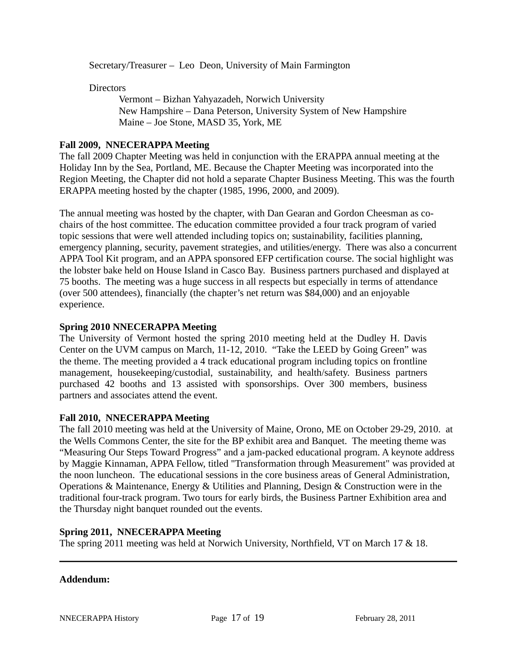Secretary/Treasurer – Leo Deon, University of Main Farmington

**Directors** 

Vermont – Bizhan Yahyazadeh, Norwich University New Hampshire – Dana Peterson, University System of New Hampshire Maine – Joe Stone, MASD 35, York, ME

## **Fall 2009, NNECERAPPA Meeting**

The fall 2009 Chapter Meeting was held in conjunction with the ERAPPA annual meeting at the Holiday Inn by the Sea, Portland, ME. Because the Chapter Meeting was incorporated into the Region Meeting, the Chapter did not hold a separate Chapter Business Meeting. This was the fourth ERAPPA meeting hosted by the chapter (1985, 1996, 2000, and 2009).

The annual meeting was hosted by the chapter, with Dan Gearan and Gordon Cheesman as cochairs of the host committee. The education committee provided a four track program of varied topic sessions that were well attended including topics on; sustainability, facilities planning, emergency planning, security, pavement strategies, and utilities/energy. There was also a concurrent APPA Tool Kit program, and an APPA sponsored EFP certification course. The social highlight was the lobster bake held on House Island in Casco Bay. Business partners purchased and displayed at 75 booths. The meeting was a huge success in all respects but especially in terms of attendance (over 500 attendees), financially (the chapter's net return was \$84,000) and an enjoyable experience.

#### **Spring 2010 NNECERAPPA Meeting**

The University of Vermont hosted the spring 2010 meeting held at the Dudley H. Davis Center on the UVM campus on March, 11-12, 2010. "Take the LEED by Going Green" was the theme. The meeting provided a 4 track educational program including topics on frontline management, housekeeping/custodial, sustainability, and health/safety. Business partners purchased 42 booths and 13 assisted with sponsorships. Over 300 members, business partners and associates attend the event.

#### **Fall 2010, NNECERAPPA Meeting**

The fall 2010 meeting was held at the University of Maine, Orono, ME on October 29-29, 2010. at the Wells Commons Center, the site for the BP exhibit area and Banquet. The meeting theme was "Measuring Our Steps Toward Progress" and a jam-packed educational program. A keynote address by Maggie Kinnaman, APPA Fellow, titled "Transformation through Measurement" was provided at the noon luncheon. The educational sessions in the core business areas of General Administration, Operations & Maintenance, Energy & Utilities and Planning, Design & Construction were in the traditional four-track program. Two tours for early birds, the Business Partner Exhibition area and the Thursday night banquet rounded out the events.

#### **Spring 2011, NNECERAPPA Meeting**

The spring 2011 meeting was held at Norwich University, Northfield, VT on March 17 & 18.

#### **Addendum:**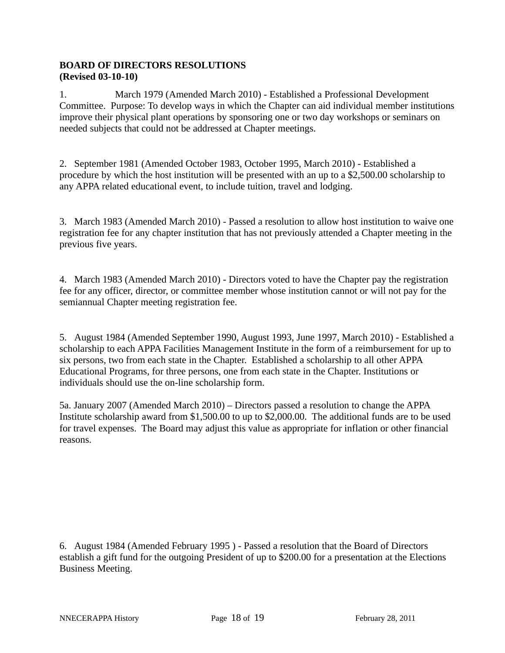# **BOARD OF DIRECTORS RESOLUTIONS (Revised 03-10-10)**

1. March 1979 (Amended March 2010) - Established a Professional Development Committee. Purpose: To develop ways in which the Chapter can aid individual member institutions improve their physical plant operations by sponsoring one or two day workshops or seminars on needed subjects that could not be addressed at Chapter meetings.

2. September 1981 (Amended October 1983, October 1995, March 2010) - Established a procedure by which the host institution will be presented with an up to a \$2,500.00 scholarship to any APPA related educational event, to include tuition, travel and lodging.

3. March 1983 (Amended March 2010) - Passed a resolution to allow host institution to waive one registration fee for any chapter institution that has not previously attended a Chapter meeting in the previous five years.

4. March 1983 (Amended March 2010) - Directors voted to have the Chapter pay the registration fee for any officer, director, or committee member whose institution cannot or will not pay for the semiannual Chapter meeting registration fee.

5. August 1984 (Amended September 1990, August 1993, June 1997, March 2010) - Established a scholarship to each APPA Facilities Management Institute in the form of a reimbursement for up to six persons, two from each state in the Chapter. Established a scholarship to all other APPA Educational Programs, for three persons, one from each state in the Chapter. Institutions or individuals should use the on-line scholarship form.

5a. January 2007 (Amended March 2010) – Directors passed a resolution to change the APPA Institute scholarship award from \$1,500.00 to up to \$2,000.00. The additional funds are to be used for travel expenses. The Board may adjust this value as appropriate for inflation or other financial reasons.

6. August 1984 (Amended February 1995 ) - Passed a resolution that the Board of Directors establish a gift fund for the outgoing President of up to \$200.00 for a presentation at the Elections Business Meeting.